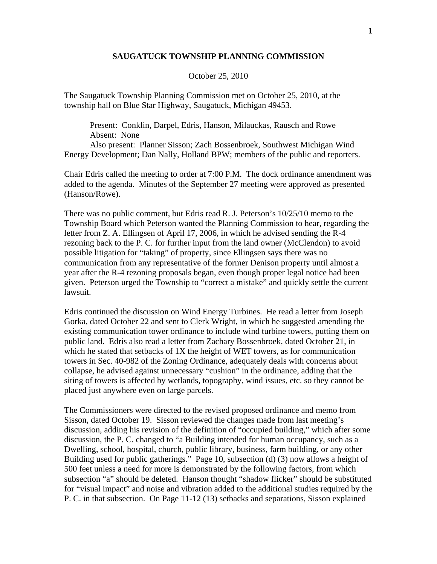## **SAUGATUCK TOWNSHIP PLANNING COMMISSION**

## October 25, 2010

The Saugatuck Township Planning Commission met on October 25, 2010, at the township hall on Blue Star Highway, Saugatuck, Michigan 49453.

 Present: Conklin, Darpel, Edris, Hanson, Milauckas, Rausch and Rowe Absent: None

 Also present: Planner Sisson; Zach Bossenbroek, Southwest Michigan Wind Energy Development; Dan Nally, Holland BPW; members of the public and reporters.

Chair Edris called the meeting to order at 7:00 P.M. The dock ordinance amendment was added to the agenda. Minutes of the September 27 meeting were approved as presented (Hanson/Rowe).

There was no public comment, but Edris read R. J. Peterson's 10/25/10 memo to the Township Board which Peterson wanted the Planning Commission to hear, regarding the letter from Z. A. Ellingsen of April 17, 2006, in which he advised sending the R-4 rezoning back to the P. C. for further input from the land owner (McClendon) to avoid possible litigation for "taking" of property, since Ellingsen says there was no communication from any representative of the former Denison property until almost a year after the R-4 rezoning proposals began, even though proper legal notice had been given. Peterson urged the Township to "correct a mistake" and quickly settle the current lawsuit.

Edris continued the discussion on Wind Energy Turbines. He read a letter from Joseph Gorka, dated October 22 and sent to Clerk Wright, in which he suggested amending the existing communication tower ordinance to include wind turbine towers, putting them on public land. Edris also read a letter from Zachary Bossenbroek, dated October 21, in which he stated that setbacks of 1X the height of WET towers, as for communication towers in Sec. 40-982 of the Zoning Ordinance, adequately deals with concerns about collapse, he advised against unnecessary "cushion" in the ordinance, adding that the siting of towers is affected by wetlands, topography, wind issues, etc. so they cannot be placed just anywhere even on large parcels.

The Commissioners were directed to the revised proposed ordinance and memo from Sisson, dated October 19. Sisson reviewed the changes made from last meeting's discussion, adding his revision of the definition of "occupied building," which after some discussion, the P. C. changed to "a Building intended for human occupancy, such as a Dwelling, school, hospital, church, public library, business, farm building, or any other Building used for public gatherings." Page 10, subsection (d) (3) now allows a height of 500 feet unless a need for more is demonstrated by the following factors, from which subsection "a" should be deleted. Hanson thought "shadow flicker" should be substituted for "visual impact" and noise and vibration added to the additional studies required by the P. C. in that subsection. On Page 11-12 (13) setbacks and separations, Sisson explained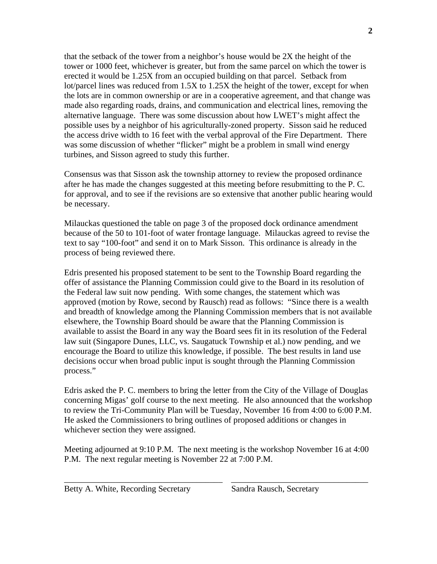that the setback of the tower from a neighbor's house would be 2X the height of the tower or 1000 feet, whichever is greater, but from the same parcel on which the tower is erected it would be 1.25X from an occupied building on that parcel. Setback from lot/parcel lines was reduced from 1.5X to 1.25X the height of the tower, except for when the lots are in common ownership or are in a cooperative agreement, and that change was made also regarding roads, drains, and communication and electrical lines, removing the alternative language. There was some discussion about how LWET's might affect the possible uses by a neighbor of his agriculturally-zoned property. Sisson said he reduced the access drive width to 16 feet with the verbal approval of the Fire Department. There was some discussion of whether "flicker" might be a problem in small wind energy turbines, and Sisson agreed to study this further.

Consensus was that Sisson ask the township attorney to review the proposed ordinance after he has made the changes suggested at this meeting before resubmitting to the P. C. for approval, and to see if the revisions are so extensive that another public hearing would be necessary.

Milauckas questioned the table on page 3 of the proposed dock ordinance amendment because of the 50 to 101-foot of water frontage language. Milauckas agreed to revise the text to say "100-foot" and send it on to Mark Sisson. This ordinance is already in the process of being reviewed there.

Edris presented his proposed statement to be sent to the Township Board regarding the offer of assistance the Planning Commission could give to the Board in its resolution of the Federal law suit now pending. With some changes, the statement which was approved (motion by Rowe, second by Rausch) read as follows: "Since there is a wealth and breadth of knowledge among the Planning Commission members that is not available elsewhere, the Township Board should be aware that the Planning Commission is available to assist the Board in any way the Board sees fit in its resolution of the Federal law suit (Singapore Dunes, LLC, vs. Saugatuck Township et al.) now pending, and we encourage the Board to utilize this knowledge, if possible. The best results in land use decisions occur when broad public input is sought through the Planning Commission process."

Edris asked the P. C. members to bring the letter from the City of the Village of Douglas concerning Migas' golf course to the next meeting. He also announced that the workshop to review the Tri-Community Plan will be Tuesday, November 16 from 4:00 to 6:00 P.M. He asked the Commissioners to bring outlines of proposed additions or changes in whichever section they were assigned.

Meeting adjourned at 9:10 P.M. The next meeting is the workshop November 16 at 4:00 P.M. The next regular meeting is November 22 at 7:00 P.M.

\_\_\_\_\_\_\_\_\_\_\_\_\_\_\_\_\_\_\_\_\_\_\_\_\_\_\_\_\_\_\_\_\_\_\_\_\_ \_\_\_\_\_\_\_\_\_\_\_\_\_\_\_\_\_\_\_\_\_\_\_\_\_\_\_\_\_\_\_\_